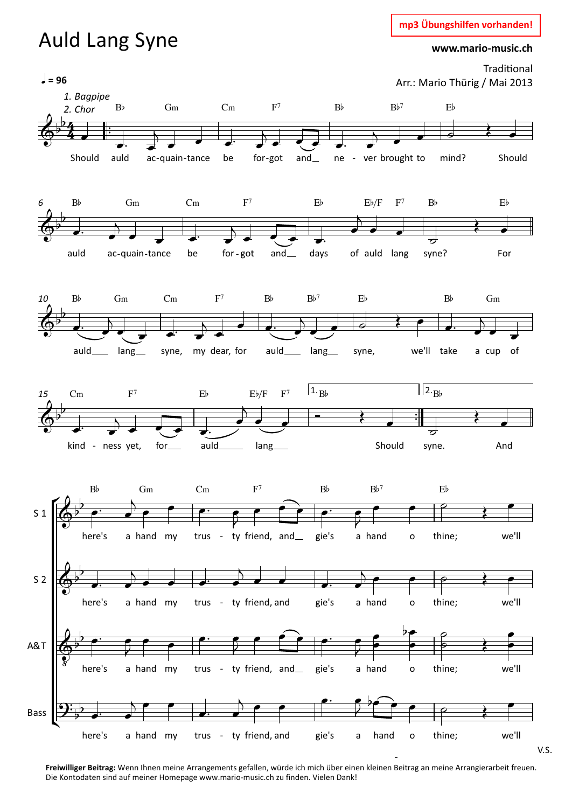**mp3 Übungshilfen vorhanden!**

## Auld Lang Syne **With an architecture Contract Contract** Contract Contract Contract Contract Contract Contract Contract Contract Contract Contract Contract Contract Contract Contract Contract Contract Contract Contract Cont



**Freiwilliger Beitrag:** Wenn Ihnen meine Arrangements gefallen, würde ich mich über einen kleinen Beitrag an meine Arrangierarbeit freuen. Die Kontodaten sind auf meiner Homepage www.mario-music.ch zu finden. Vielen Dank!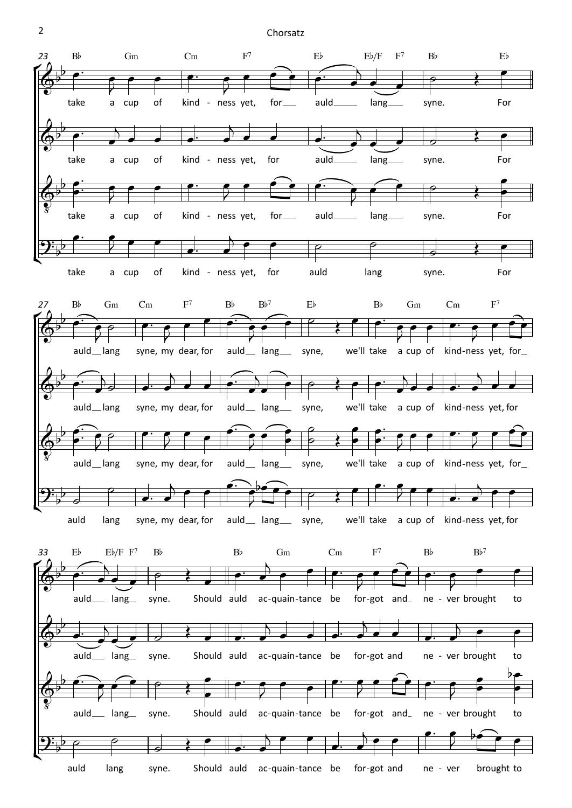2 Chorsatz

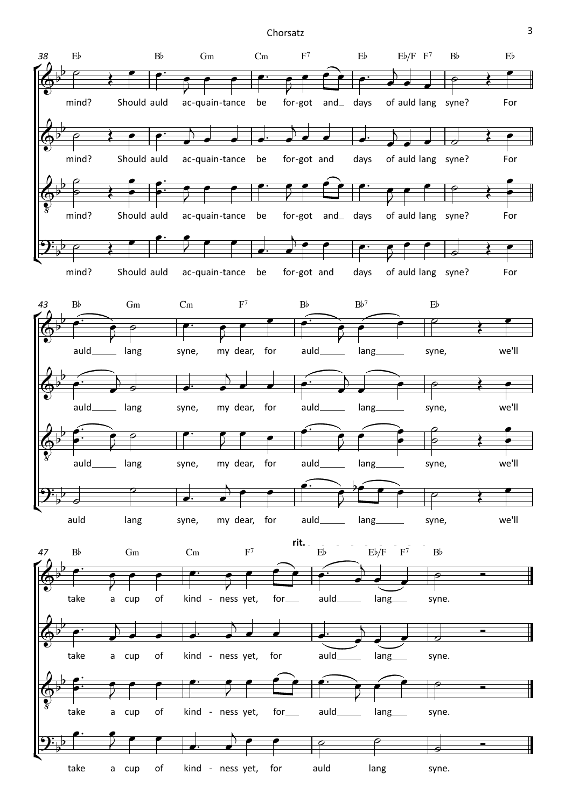Chorsatz 3

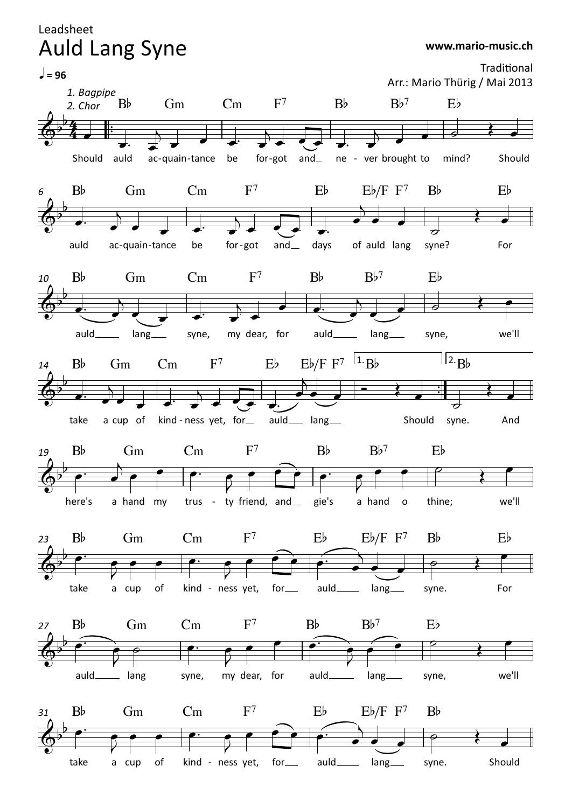Leadsheet Auld Lang Syne **www.mario-music.ch**